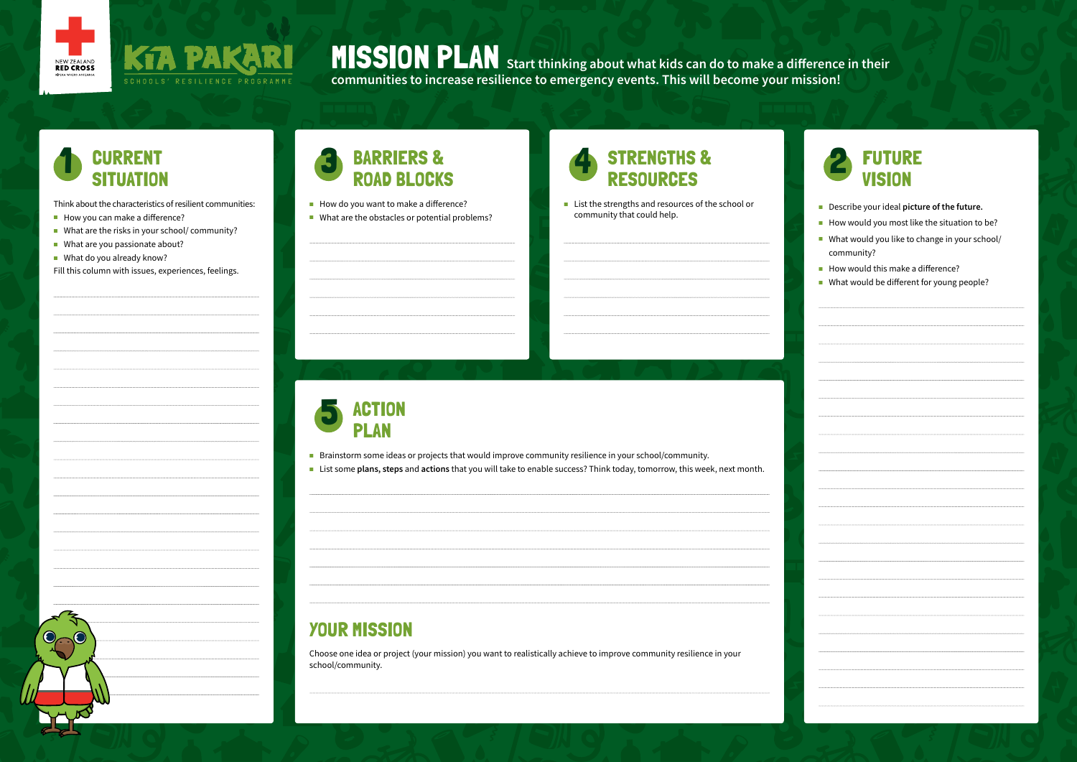



MISSION PLAN **Start thinking about what kids can do to make a difference in their communities to increase resilience to emergency events. This will become your mission!**

## **CURRENT** SITUATIO

Think about the characteristics of resilient communities:

KfA

SCHOOLS' RESILIENCE PROGRAMME

- How you can make a difference?
- What are the risks in your school/ community?
- What are you passionate about?
- **No.** What do you already know?

■ List the strengths and resources of the school or community that could help.

Fill this column with issues, experiences, feelings.



- Describe your ideal **picture of the future.**
- How would you most like the situation to be?
- What would you like to change in your school/ community?
- How would this make a difference?
- What would be different for young people?



#### 3 BARRIERS & ROAD BLOCKS

- How do you want to make a difference?
- What are the obstacles or potential problems?



- Brainstorm some ideas or projects that would improve community resilience in your school/community.
- List some **plans, steps** and **actions** that you will take to enable success? Think today, tomorrow, this week, next month.

#### YOUR MISSION

Choose one idea or project (your mission) you want to realistically achieve to improve community resilience in your school/community.

FINALS